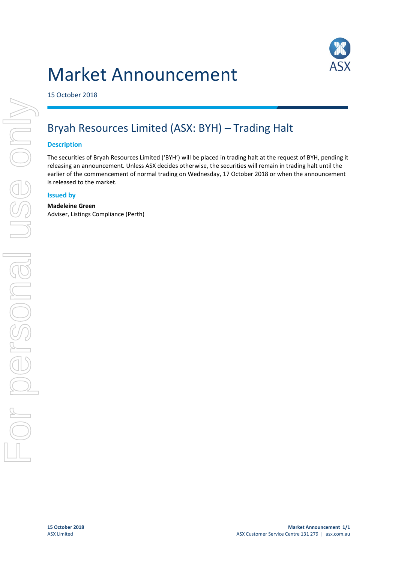# Market Announcement



15 October 2018

# Bryah Resources Limited (ASX: BYH) – Trading Halt

#### **Description**

The securities of Bryah Resources Limited ('BYH') will be placed in trading halt at the request of BYH, pending it releasing an announcement. Unless ASX decides otherwise, the securities will remain in trading halt until the earlier of the commencement of normal trading on Wednesday, 17 October 2018 or when the announcement is released to the market.

#### **Issued by**

#### **Madeleine Green**

Adviser, Listings Compliance (Perth)